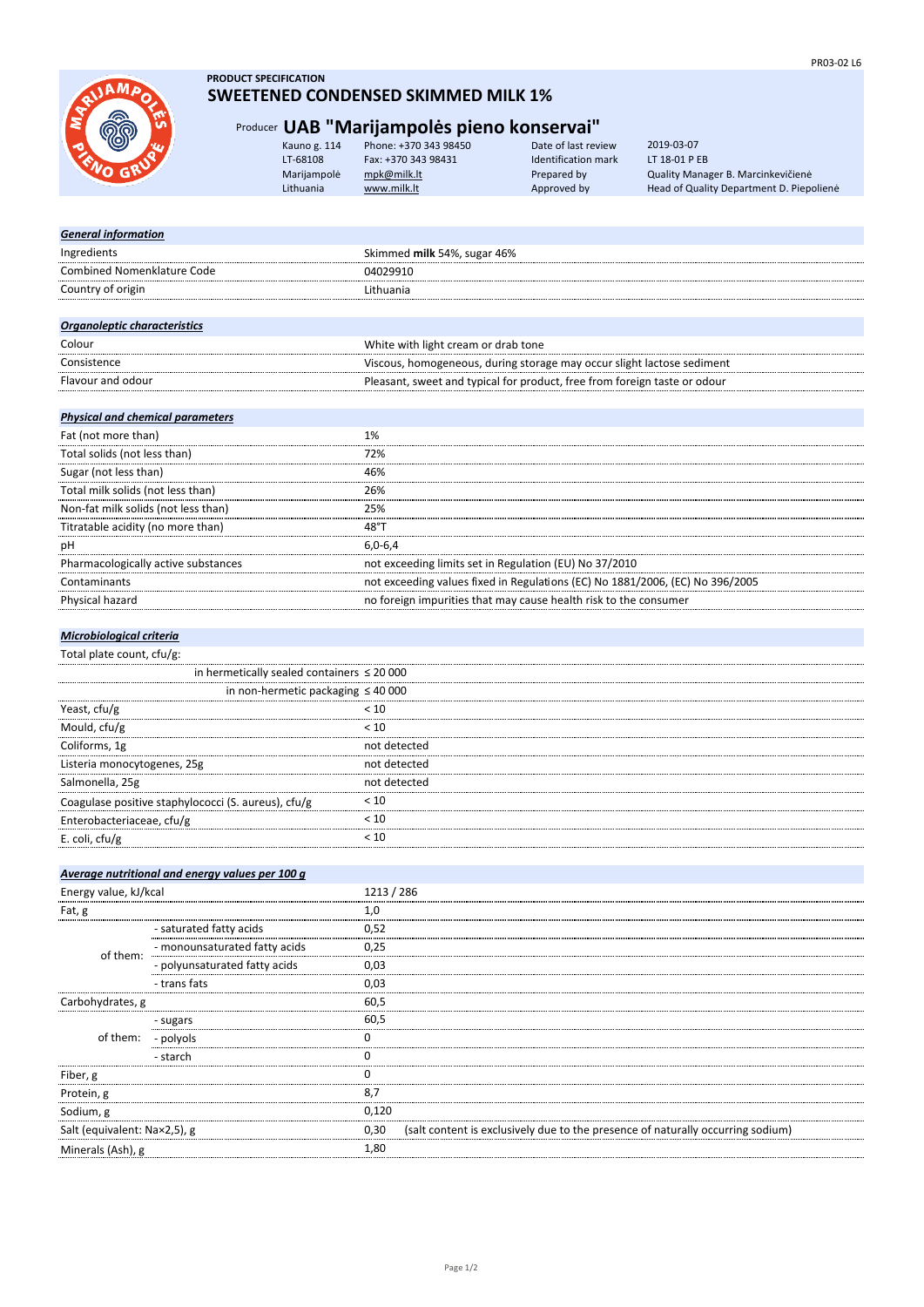

# **PRODUCT SPECIFICATION SWEETENED CONDENSED SKIMMED MILK 1%**

# Producer **UAB "Marijampolės pieno konservai"**

| Kauno g. 114 | Phone: +370 343 98450 | Date of last review        |
|--------------|-----------------------|----------------------------|
| LT-68108     | Fax: +370 343 98431   | <b>Identification mark</b> |
| Marijampolė  | mpk@milk.lt           | Prepared by                |
| Lithuania    | www.milk.lt           | Approved by                |

LT 18-01 P EB Quality Manager B. Marcinkevičienė Head of Quality Department D. Piepolienė 2019-03-07

| <b>General information</b>        |                             |
|-----------------------------------|-----------------------------|
| Ingredients                       | Skimmed milk 54%, sugar 46% |
| <b>Combined Nomenklature Code</b> | 04029910                    |
| Country of origin                 | Lithuania                   |
|                                   |                             |
| Organoleptic characteristics      |                             |
|                                   |                             |

| Colour            | White with light cream or drab tone                                       |
|-------------------|---------------------------------------------------------------------------|
| Consistence       | Viscous, homogeneous, during storage may occur slight lactose sediment    |
| Flavour and odour | Pleasant, sweet and typical for product, free from foreign taste or odour |
|                   |                                                                           |

# *Physical and chemical parameters*

| Fat (not more than)                 |                                                                               |
|-------------------------------------|-------------------------------------------------------------------------------|
| Total solids (not less than)        | 72%                                                                           |
| Sugar (not less than)               | 46%                                                                           |
| Total milk solids (not less than)   | 26%                                                                           |
| Non-fat milk solids (not less than) | 25%                                                                           |
| Titratable acidity (no more than)   | 48°                                                                           |
| pH                                  | $6.0 - 6.4$                                                                   |
| Pharmacologically active substances | not exceeding limits set in Regulation (EU) No 37/2010                        |
| Contaminants                        | not exceeding values fixed in Regulations (EC) No 1881/2006, (EC) No 396/2005 |
| Physical hazard                     | no foreign impurities that may cause health risk to the consumer              |
|                                     |                                                                               |

# *Microbiological criteria*

|  |  | Total plate count, cfu/g: |  |
|--|--|---------------------------|--|
|--|--|---------------------------|--|

| in hermetically sealed containers $\leq 20000$      |              |
|-----------------------------------------------------|--------------|
| in non-hermetic packaging $\leq 40000$              |              |
| Yeast, cfu/g                                        | 10 >         |
| Mould, cfu/g                                        | 10 >         |
| Coliforms, 1g                                       | not detected |
| Listeria monocytogenes, 25g                         | not detected |
| Salmonella, 25g                                     | hot detected |
| Coagulase positive staphylococci (S. aureus), cfu/g | < 10         |
| Enterobacteriaceae, cfu/g                           | 10 >         |
| E. coli, $ctu/g$                                    |              |

# *Average nutritional and energy values per 100 g*

| Energy value, kJ/kcal        |                                                                   | 1213 / 286 |                                                                                 |
|------------------------------|-------------------------------------------------------------------|------------|---------------------------------------------------------------------------------|
| Fat, g                       |                                                                   | 1,0        |                                                                                 |
| of them:                     | - saturated fatty acids                                           | 0,52       |                                                                                 |
|                              | - monounsaturated fatty acids<br>Annual Court Street Court Street | 0.25       |                                                                                 |
|                              | - polyunsaturated fatty acids                                     | 0.03       |                                                                                 |
|                              | - trans fats                                                      | 0.03       |                                                                                 |
| Carbohydrates, g             |                                                                   | 60.5       |                                                                                 |
| of them:                     | - sugars                                                          | 60.5       |                                                                                 |
|                              | - polyols                                                         |            |                                                                                 |
|                              | - starch                                                          |            |                                                                                 |
| Fiber, g                     |                                                                   |            |                                                                                 |
| Protein, g                   |                                                                   | 8,7        |                                                                                 |
| Sodium, g                    |                                                                   | 0.120      |                                                                                 |
| Salt (equivalent: Na×2,5), g |                                                                   | 0.30       | (salt content is exclusively due to the presence of naturally occurring sodium) |
| Minerals (Ash), g            |                                                                   | 1.80       |                                                                                 |